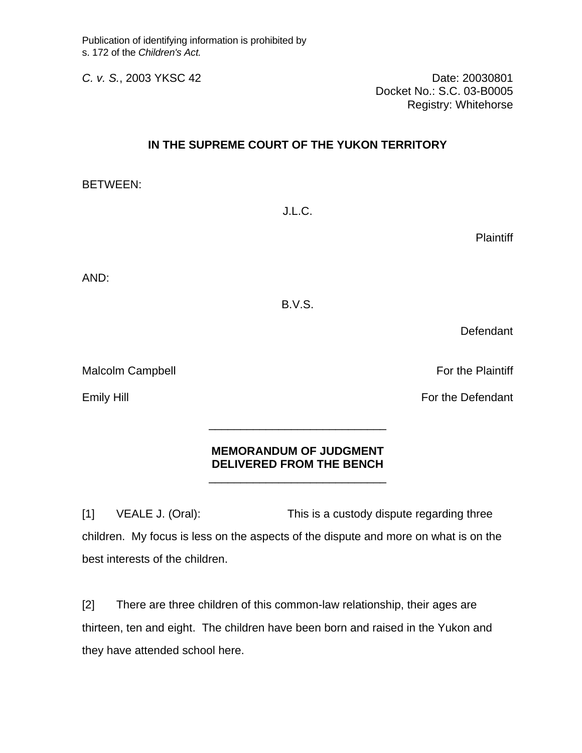*C. v. S.*, 2003 YKSC 42 Date: 20030801 Docket No.: S.C. 03-B0005 Registry: Whitehorse

## **IN THE SUPREME COURT OF THE YUKON TERRITORY**

BETWEEN:

J.L.C.

**Plaintiff** 

AND:

B.V.S.

Defendant

Malcolm Campbell **For the Plaintiff** 

## **MEMORANDUM OF JUDGMENT DELIVERED FROM THE BENCH**

 $\frac{1}{\sqrt{2\pi}}$  ,  $\frac{1}{\sqrt{2\pi}}$  ,  $\frac{1}{\sqrt{2\pi}}$  ,  $\frac{1}{\sqrt{2\pi}}$  ,  $\frac{1}{\sqrt{2\pi}}$  ,  $\frac{1}{\sqrt{2\pi}}$  ,  $\frac{1}{\sqrt{2\pi}}$  ,  $\frac{1}{\sqrt{2\pi}}$  ,  $\frac{1}{\sqrt{2\pi}}$  ,  $\frac{1}{\sqrt{2\pi}}$  ,  $\frac{1}{\sqrt{2\pi}}$  ,  $\frac{1}{\sqrt{2\pi}}$  ,  $\frac{1}{\sqrt{2\pi}}$  ,

 $\frac{1}{\sqrt{2\pi}}$  ,  $\frac{1}{\sqrt{2\pi}}$  ,  $\frac{1}{\sqrt{2\pi}}$  ,  $\frac{1}{\sqrt{2\pi}}$  ,  $\frac{1}{\sqrt{2\pi}}$  ,  $\frac{1}{\sqrt{2\pi}}$  ,  $\frac{1}{\sqrt{2\pi}}$  ,  $\frac{1}{\sqrt{2\pi}}$  ,  $\frac{1}{\sqrt{2\pi}}$  ,  $\frac{1}{\sqrt{2\pi}}$  ,  $\frac{1}{\sqrt{2\pi}}$  ,  $\frac{1}{\sqrt{2\pi}}$  ,  $\frac{1}{\sqrt{2\pi}}$  ,

[1] VEALE J. (Oral): This is a custody dispute regarding three children. My focus is less on the aspects of the dispute and more on what is on the best interests of the children.

[2] There are three children of this common-law relationship, their ages are thirteen, ten and eight. The children have been born and raised in the Yukon and they have attended school here.

Emily Hill **Emily Hill** For the Defendant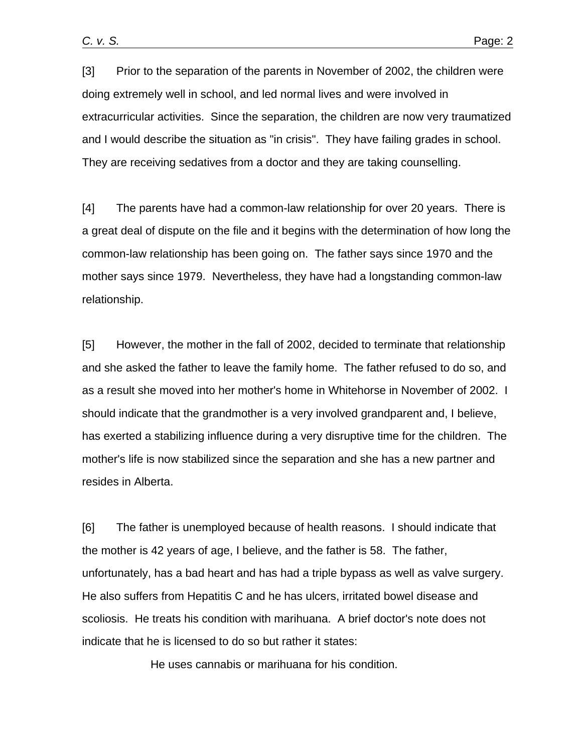[3] Prior to the separation of the parents in November of 2002, the children were doing extremely well in school, and led normal lives and were involved in extracurricular activities. Since the separation, the children are now very traumatized and I would describe the situation as "in crisis". They have failing grades in school. They are receiving sedatives from a doctor and they are taking counselling.

[4] The parents have had a common-law relationship for over 20 years. There is a great deal of dispute on the file and it begins with the determination of how long the common-law relationship has been going on. The father says since 1970 and the mother says since 1979. Nevertheless, they have had a longstanding common-law relationship.

[5] However, the mother in the fall of 2002, decided to terminate that relationship and she asked the father to leave the family home. The father refused to do so, and as a result she moved into her mother's home in Whitehorse in November of 2002. I should indicate that the grandmother is a very involved grandparent and, I believe, has exerted a stabilizing influence during a very disruptive time for the children. The mother's life is now stabilized since the separation and she has a new partner and resides in Alberta.

[6] The father is unemployed because of health reasons. I should indicate that the mother is 42 years of age, I believe, and the father is 58. The father, unfortunately, has a bad heart and has had a triple bypass as well as valve surgery. He also suffers from Hepatitis C and he has ulcers, irritated bowel disease and scoliosis. He treats his condition with marihuana. A brief doctor's note does not indicate that he is licensed to do so but rather it states:

He uses cannabis or marihuana for his condition.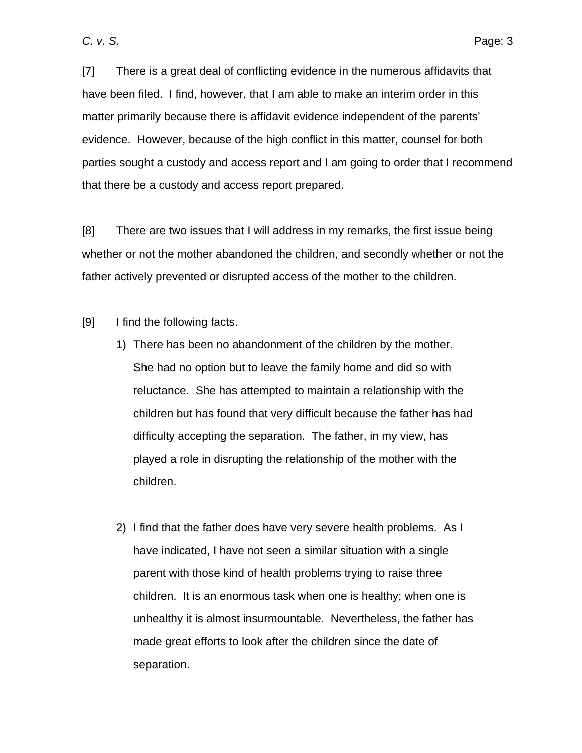[7] There is a great deal of conflicting evidence in the numerous affidavits that have been filed. I find, however, that I am able to make an interim order in this matter primarily because there is affidavit evidence independent of the parents' evidence. However, because of the high conflict in this matter, counsel for both parties sought a custody and access report and I am going to order that I recommend that there be a custody and access report prepared.

[8] There are two issues that I will address in my remarks, the first issue being whether or not the mother abandoned the children, and secondly whether or not the father actively prevented or disrupted access of the mother to the children.

[9] I find the following facts.

- 1) There has been no abandonment of the children by the mother. She had no option but to leave the family home and did so with reluctance. She has attempted to maintain a relationship with the children but has found that very difficult because the father has had difficulty accepting the separation. The father, in my view, has played a role in disrupting the relationship of the mother with the children.
- 2) I find that the father does have very severe health problems. As I have indicated, I have not seen a similar situation with a single parent with those kind of health problems trying to raise three children. It is an enormous task when one is healthy; when one is unhealthy it is almost insurmountable. Nevertheless, the father has made great efforts to look after the children since the date of separation.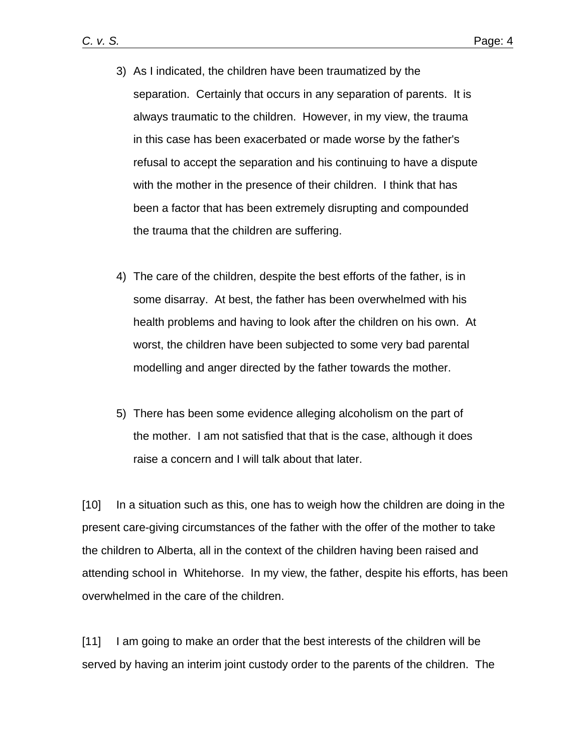- 3) As I indicated, the children have been traumatized by the separation. Certainly that occurs in any separation of parents. It is always traumatic to the children. However, in my view, the trauma in this case has been exacerbated or made worse by the father's refusal to accept the separation and his continuing to have a dispute with the mother in the presence of their children. I think that has been a factor that has been extremely disrupting and compounded the trauma that the children are suffering.
- 4) The care of the children, despite the best efforts of the father, is in some disarray. At best, the father has been overwhelmed with his health problems and having to look after the children on his own. At worst, the children have been subjected to some very bad parental modelling and anger directed by the father towards the mother.
- 5) There has been some evidence alleging alcoholism on the part of the mother. I am not satisfied that that is the case, although it does raise a concern and I will talk about that later.

[10] In a situation such as this, one has to weigh how the children are doing in the present care-giving circumstances of the father with the offer of the mother to take the children to Alberta, all in the context of the children having been raised and attending school in Whitehorse. In my view, the father, despite his efforts, has been overwhelmed in the care of the children.

[11] I am going to make an order that the best interests of the children will be served by having an interim joint custody order to the parents of the children. The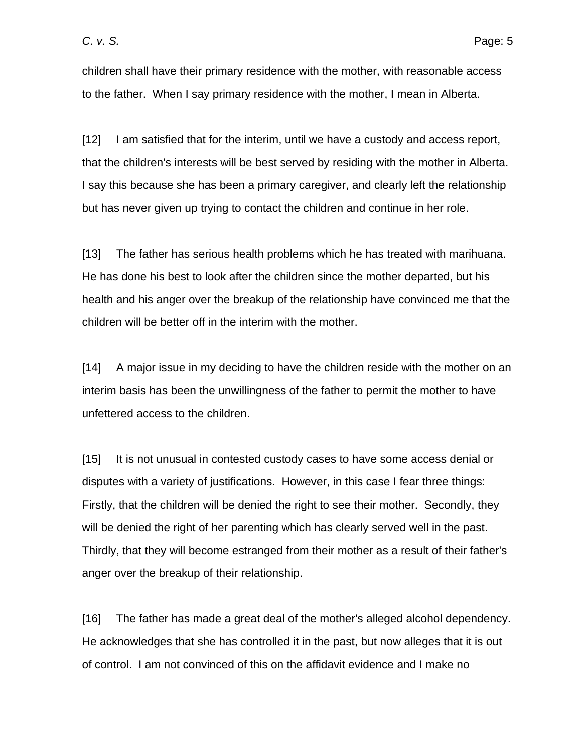children shall have their primary residence with the mother, with reasonable access to the father. When I say primary residence with the mother, I mean in Alberta.

[12] I am satisfied that for the interim, until we have a custody and access report, that the children's interests will be best served by residing with the mother in Alberta. I say this because she has been a primary caregiver, and clearly left the relationship but has never given up trying to contact the children and continue in her role.

[13] The father has serious health problems which he has treated with marihuana. He has done his best to look after the children since the mother departed, but his health and his anger over the breakup of the relationship have convinced me that the children will be better off in the interim with the mother.

[14] A major issue in my deciding to have the children reside with the mother on an interim basis has been the unwillingness of the father to permit the mother to have unfettered access to the children.

[15] It is not unusual in contested custody cases to have some access denial or disputes with a variety of justifications. However, in this case I fear three things: Firstly, that the children will be denied the right to see their mother. Secondly, they will be denied the right of her parenting which has clearly served well in the past. Thirdly, that they will become estranged from their mother as a result of their father's anger over the breakup of their relationship.

[16] The father has made a great deal of the mother's alleged alcohol dependency. He acknowledges that she has controlled it in the past, but now alleges that it is out of control. I am not convinced of this on the affidavit evidence and I make no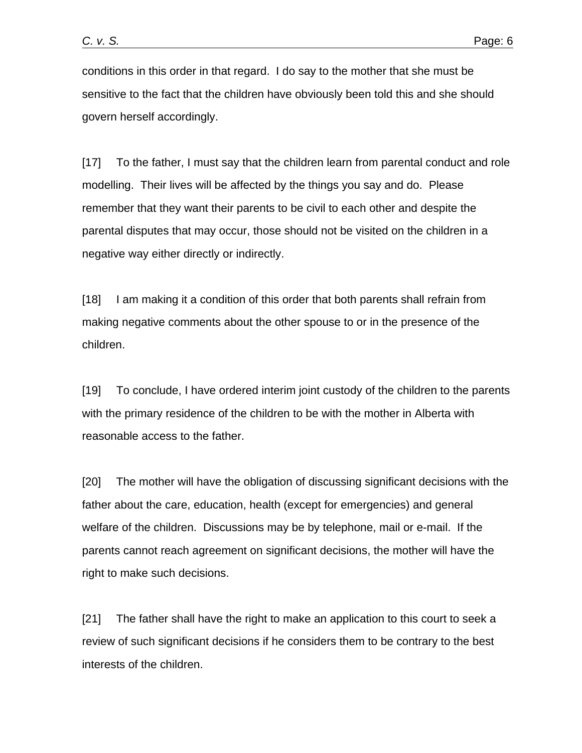conditions in this order in that regard. I do say to the mother that she must be sensitive to the fact that the children have obviously been told this and she should govern herself accordingly.

[17] To the father, I must say that the children learn from parental conduct and role modelling. Their lives will be affected by the things you say and do. Please remember that they want their parents to be civil to each other and despite the parental disputes that may occur, those should not be visited on the children in a negative way either directly or indirectly.

[18] I am making it a condition of this order that both parents shall refrain from making negative comments about the other spouse to or in the presence of the children.

[19] To conclude, I have ordered interim joint custody of the children to the parents with the primary residence of the children to be with the mother in Alberta with reasonable access to the father.

[20] The mother will have the obligation of discussing significant decisions with the father about the care, education, health (except for emergencies) and general welfare of the children. Discussions may be by telephone, mail or e-mail. If the parents cannot reach agreement on significant decisions, the mother will have the right to make such decisions.

[21] The father shall have the right to make an application to this court to seek a review of such significant decisions if he considers them to be contrary to the best interests of the children.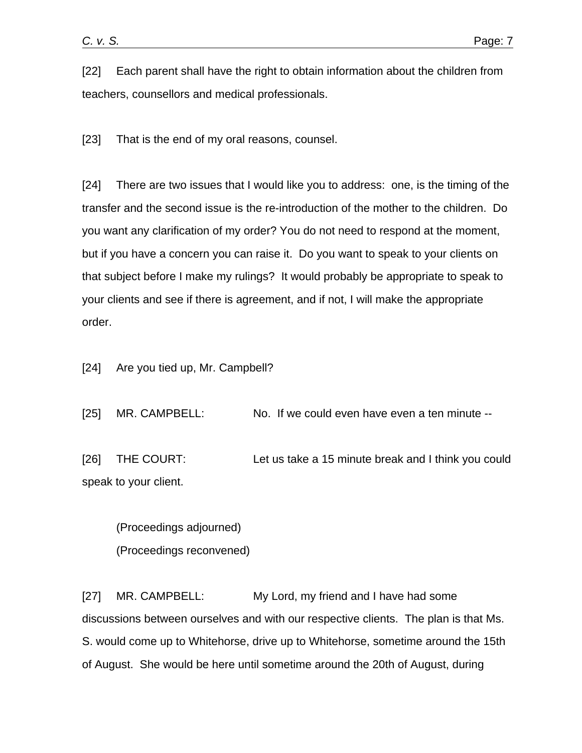[22] Each parent shall have the right to obtain information about the children from teachers, counsellors and medical professionals.

[23] That is the end of my oral reasons, counsel.

[24] There are two issues that I would like you to address: one, is the timing of the transfer and the second issue is the re-introduction of the mother to the children. Do you want any clarification of my order? You do not need to respond at the moment, but if you have a concern you can raise it. Do you want to speak to your clients on that subject before I make my rulings? It would probably be appropriate to speak to your clients and see if there is agreement, and if not, I will make the appropriate order.

[24] Are you tied up, Mr. Campbell?

[25] MR. CAMPBELL: No. If we could even have even a ten minute --

[26] THE COURT: Let us take a 15 minute break and I think you could speak to your client.

 (Proceedings adjourned) (Proceedings reconvened)

[27] MR. CAMPBELL: My Lord, my friend and I have had some discussions between ourselves and with our respective clients. The plan is that Ms. S. would come up to Whitehorse, drive up to Whitehorse, sometime around the 15th of August. She would be here until sometime around the 20th of August, during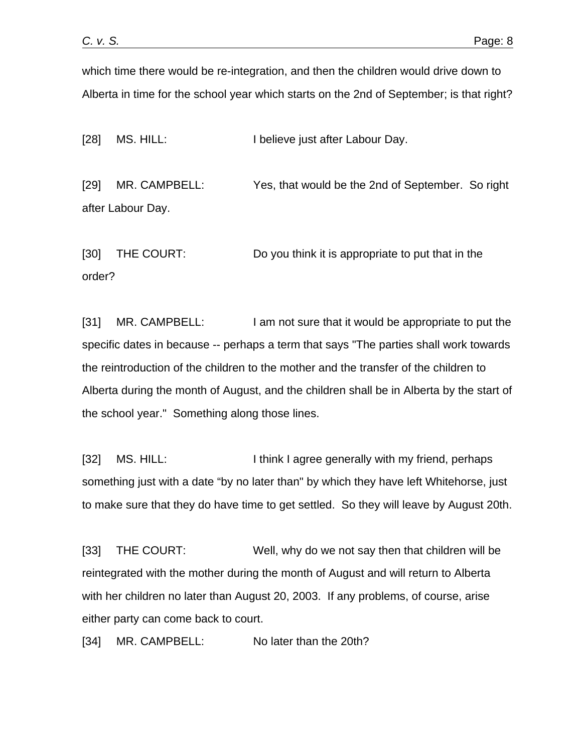which time there would be re-integration, and then the children would drive down to Alberta in time for the school year which starts on the 2nd of September; is that right?

[28] MS. HILL: I believe just after Labour Day.

[29] MR. CAMPBELL: Yes, that would be the 2nd of September. So right after Labour Day.

[30] THE COURT: Do you think it is appropriate to put that in the order?

[31] MR. CAMPBELL: I am not sure that it would be appropriate to put the specific dates in because -- perhaps a term that says "The parties shall work towards the reintroduction of the children to the mother and the transfer of the children to Alberta during the month of August, and the children shall be in Alberta by the start of the school year." Something along those lines.

[32] MS. HILL: I and I think I agree generally with my friend, perhaps something just with a date "by no later than" by which they have left Whitehorse, just to make sure that they do have time to get settled. So they will leave by August 20th.

[33] THE COURT: Well, why do we not say then that children will be reintegrated with the mother during the month of August and will return to Alberta with her children no later than August 20, 2003. If any problems, of course, arise either party can come back to court.

[34] MR. CAMPBELL: No later than the 20th?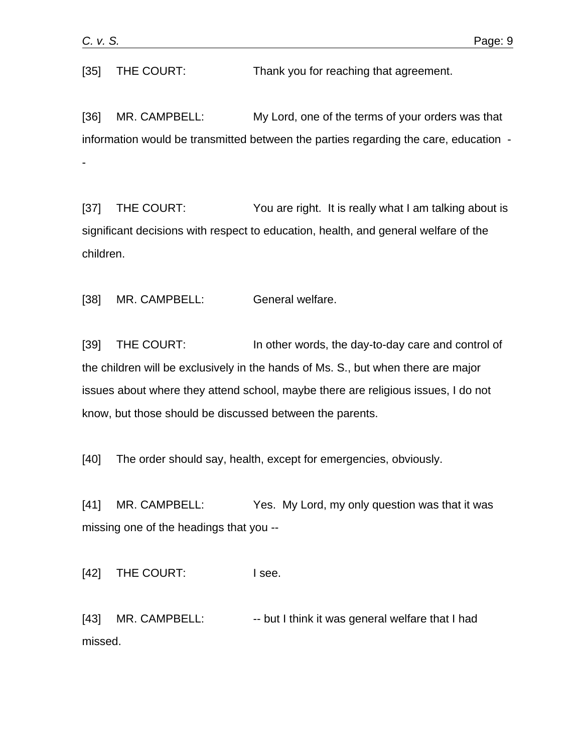[35] THE COURT: Thank you for reaching that agreement.

[36] MR. CAMPBELL: My Lord, one of the terms of your orders was that information would be transmitted between the parties regarding the care, education - -

[37] THE COURT: You are right. It is really what I am talking about is significant decisions with respect to education, health, and general welfare of the children.

[38] MR. CAMPBELL: General welfare.

[39] THE COURT: In other words, the day-to-day care and control of the children will be exclusively in the hands of Ms. S., but when there are major issues about where they attend school, maybe there are religious issues, I do not know, but those should be discussed between the parents.

[40] The order should say, health, except for emergencies, obviously.

[41] MR. CAMPBELL: Yes. My Lord, my only question was that it was missing one of the headings that you --

[42] THE COURT: I see.

[43] MR. CAMPBELL: -- but I think it was general welfare that I had missed.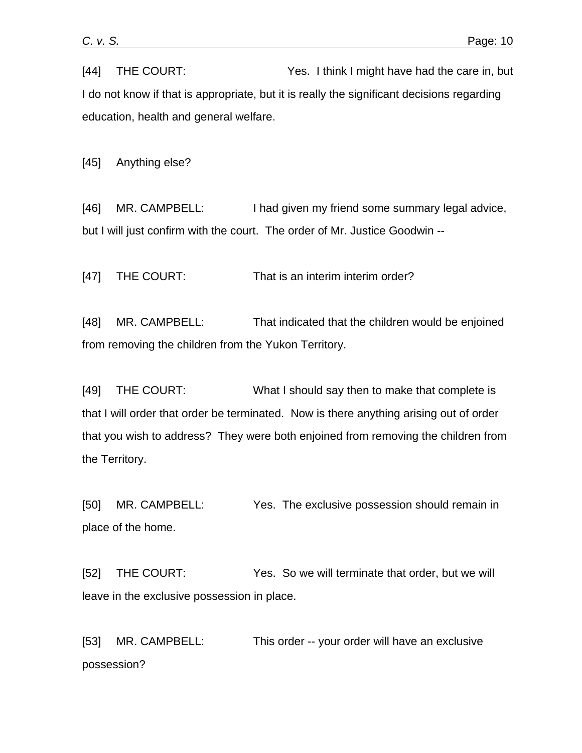[44] THE COURT: Yes. I think I might have had the care in, but I do not know if that is appropriate, but it is really the significant decisions regarding education, health and general welfare.

[45] Anything else?

[46] MR. CAMPBELL: I had given my friend some summary legal advice, but I will just confirm with the court. The order of Mr. Justice Goodwin --

[47] THE COURT: That is an interim interim order?

[48] MR. CAMPBELL: That indicated that the children would be enjoined from removing the children from the Yukon Territory.

[49] THE COURT: What I should say then to make that complete is that I will order that order be terminated. Now is there anything arising out of order that you wish to address? They were both enjoined from removing the children from the Territory.

[50] MR. CAMPBELL: Yes. The exclusive possession should remain in place of the home.

[52] THE COURT: Yes. So we will terminate that order, but we will leave in the exclusive possession in place.

[53] MR. CAMPBELL: This order -- your order will have an exclusive possession?